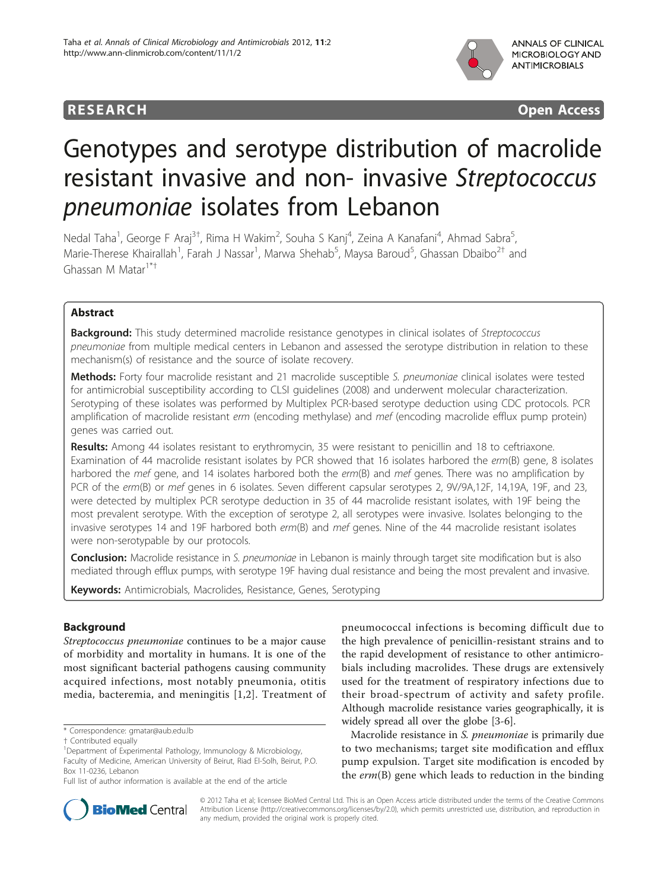

**RESEARCH CONSTRUCTION CONSTRUCTS** 

# Genotypes and serotype distribution of macrolide resistant invasive and non- invasive Streptococcus pneumoniae isolates from Lebanon

Nedal Taha<sup>1</sup>, George F Araj<sup>3†</sup>, Rima H Wakim<sup>2</sup>, Souha S Kanj<sup>4</sup>, Zeina A Kanafani<sup>4</sup>, Ahmad Sabra<sup>5</sup> , Marie-Therese Khairallah<sup>1</sup>, Farah J Nassar<sup>1</sup>, Marwa Shehab<sup>5</sup>, Maysa Baroud<sup>5</sup>, Ghassan Dbaibo<sup>2†</sup> and Ghassan M Matar1\*†

# Abstract

Background: This study determined macrolide resistance genotypes in clinical isolates of Streptococcus pneumoniae from multiple medical centers in Lebanon and assessed the serotype distribution in relation to these mechanism(s) of resistance and the source of isolate recovery.

Methods: Forty four macrolide resistant and 21 macrolide susceptible S. pneumoniae clinical isolates were tested for antimicrobial susceptibility according to CLSI guidelines (2008) and underwent molecular characterization. Serotyping of these isolates was performed by Multiplex PCR-based serotype deduction using CDC protocols. PCR amplification of macrolide resistant erm (encoding methylase) and mef (encoding macrolide efflux pump protein) genes was carried out.

Results: Among 44 isolates resistant to erythromycin, 35 were resistant to penicillin and 18 to ceftriaxone. Examination of 44 macrolide resistant isolates by PCR showed that 16 isolates harbored the erm(B) gene, 8 isolates harbored the mef gene, and 14 isolates harbored both the erm(B) and mef genes. There was no amplification by PCR of the erm(B) or mef genes in 6 isolates. Seven different capsular serotypes 2, 9V/9A,12F, 14,19A, 19F, and 23, were detected by multiplex PCR serotype deduction in 35 of 44 macrolide resistant isolates, with 19F being the most prevalent serotype. With the exception of serotype 2, all serotypes were invasive. Isolates belonging to the invasive serotypes 14 and 19F harbored both  $erm(B)$  and mef genes. Nine of the 44 macrolide resistant isolates were non-serotypable by our protocols.

**Conclusion:** Macrolide resistance in S. pneumoniae in Lebanon is mainly through target site modification but is also mediated through efflux pumps, with serotype 19F having dual resistance and being the most prevalent and invasive.

Keywords: Antimicrobials, Macrolides, Resistance, Genes, Serotyping

# Background

Streptococcus pneumoniae continues to be a major cause of morbidity and mortality in humans. It is one of the most significant bacterial pathogens causing community acquired infections, most notably pneumonia, otitis media, bacteremia, and meningitis [[1,2](#page-4-0)]. Treatment of

pneumococcal infections is becoming difficult due to the high prevalence of penicillin-resistant strains and to the rapid development of resistance to other antimicrobials including macrolides. These drugs are extensively used for the treatment of respiratory infections due to their broad-spectrum of activity and safety profile. Although macrolide resistance varies geographically, it is widely spread all over the globe [\[3](#page-4-0)-[6\]](#page-4-0).

Macrolide resistance in S. pneumoniae is primarily due to two mechanisms; target site modification and efflux pump expulsion. Target site modification is encoded by the  $erm(B)$  gene which leads to reduction in the binding



© 2012 Taha et al; licensee BioMed Central Ltd. This is an Open Access article distributed under the terms of the Creative Commons Attribution License [\(http://creativecommons.org/licenses/by/2.0](http://creativecommons.org/licenses/by/2.0)), which permits unrestricted use, distribution, and reproduction in any medium, provided the original work is properly cited.

<sup>\*</sup> Correspondence: [gmatar@aub.edu.lb](mailto:gmatar@aub.edu.lb)

<sup>†</sup> Contributed equally <sup>1</sup>

<sup>&</sup>lt;sup>1</sup>Department of Experimental Pathology, Immunology & Microbiology, Faculty of Medicine, American University of Beirut, Riad El-Solh, Beirut, P.O. Box 11-0236, Lebanon

Full list of author information is available at the end of the article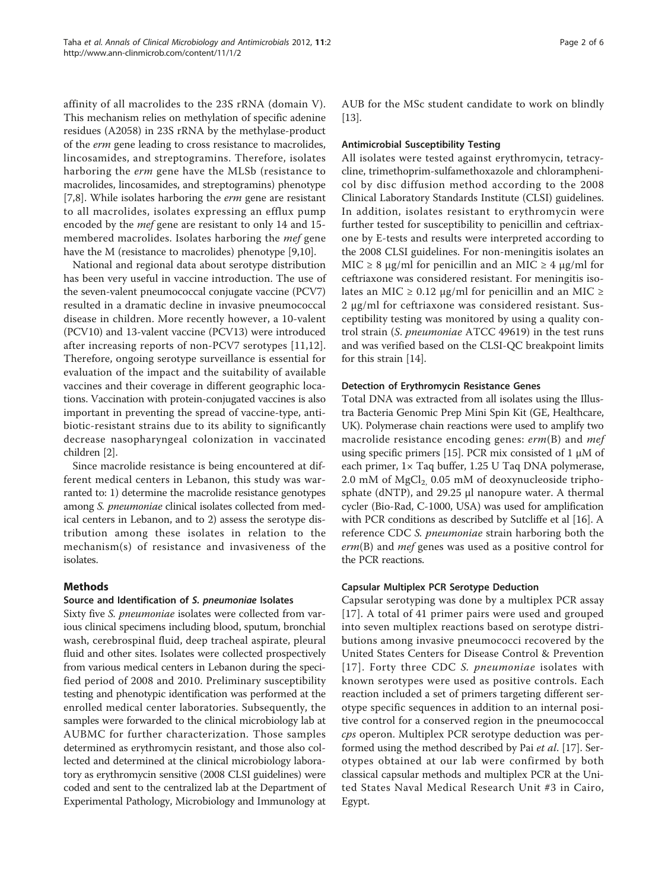affinity of all macrolides to the 23S rRNA (domain V). This mechanism relies on methylation of specific adenine residues (A2058) in 23S rRNA by the methylase-product of the erm gene leading to cross resistance to macrolides, lincosamides, and streptogramins. Therefore, isolates harboring the erm gene have the MLSb (resistance to macrolides, lincosamides, and streptogramins) phenotype [[7,8\]](#page-4-0). While isolates harboring the *erm* gene are resistant to all macrolides, isolates expressing an efflux pump encoded by the mef gene are resistant to only 14 and 15 membered macrolides. Isolates harboring the mef gene have the M (resistance to macrolides) phenotype [\[9,10\]](#page-4-0).

National and regional data about serotype distribution has been very useful in vaccine introduction. The use of the seven-valent pneumococcal conjugate vaccine (PCV7) resulted in a dramatic decline in invasive pneumococcal disease in children. More recently however, a 10-valent (PCV10) and 13-valent vaccine (PCV13) were introduced after increasing reports of non-PCV7 serotypes [[11,12](#page-4-0)]. Therefore, ongoing serotype surveillance is essential for evaluation of the impact and the suitability of available vaccines and their coverage in different geographic locations. Vaccination with protein-conjugated vaccines is also important in preventing the spread of vaccine-type, antibiotic-resistant strains due to its ability to significantly decrease nasopharyngeal colonization in vaccinated children [\[2\]](#page-4-0).

Since macrolide resistance is being encountered at different medical centers in Lebanon, this study was warranted to: 1) determine the macrolide resistance genotypes among S. pneumoniae clinical isolates collected from medical centers in Lebanon, and to 2) assess the serotype distribution among these isolates in relation to the mechanism(s) of resistance and invasiveness of the isolates.

# Methods

# Source and Identification of S. pneumoniae Isolates

Sixty five S. pneumoniae isolates were collected from various clinical specimens including blood, sputum, bronchial wash, cerebrospinal fluid, deep tracheal aspirate, pleural fluid and other sites. Isolates were collected prospectively from various medical centers in Lebanon during the specified period of 2008 and 2010. Preliminary susceptibility testing and phenotypic identification was performed at the enrolled medical center laboratories. Subsequently, the samples were forwarded to the clinical microbiology lab at AUBMC for further characterization. Those samples determined as erythromycin resistant, and those also collected and determined at the clinical microbiology laboratory as erythromycin sensitive (2008 CLSI guidelines) were coded and sent to the centralized lab at the Department of Experimental Pathology, Microbiology and Immunology at AUB for the MSc student candidate to work on blindly [[13](#page-4-0)].

# Antimicrobial Susceptibility Testing

All isolates were tested against erythromycin, tetracycline, trimethoprim-sulfamethoxazole and chloramphenicol by disc diffusion method according to the 2008 Clinical Laboratory Standards Institute (CLSI) guidelines. In addition, isolates resistant to erythromycin were further tested for susceptibility to penicillin and ceftriaxone by E-tests and results were interpreted according to the 2008 CLSI guidelines. For non-meningitis isolates an MIC  $\geq$  8 μg/ml for penicillin and an MIC  $\geq$  4 μg/ml for ceftriaxone was considered resistant. For meningitis isolates an MIC  $\geq$  0.12 μg/ml for penicillin and an MIC  $\geq$ 2 μg/ml for ceftriaxone was considered resistant. Susceptibility testing was monitored by using a quality control strain (S. pneumoniae ATCC 49619) in the test runs and was verified based on the CLSI-QC breakpoint limits for this strain [\[14](#page-4-0)].

# Detection of Erythromycin Resistance Genes

Total DNA was extracted from all isolates using the Illustra Bacteria Genomic Prep Mini Spin Kit (GE, Healthcare, UK). Polymerase chain reactions were used to amplify two macrolide resistance encoding genes: erm(B) and mef using specific primers [\[15](#page-4-0)]. PCR mix consisted of 1 μM of each primer, 1× Taq buffer, 1.25 U Taq DNA polymerase, 2.0 mM of  $MgCl<sub>2</sub>$ , 0.05 mM of deoxynucleoside triphosphate (dNTP), and 29.25 μl nanopure water. A thermal cycler (Bio-Rad, C-1000, USA) was used for amplification with PCR conditions as described by Sutcliffe et al [[16\]](#page-5-0). A reference CDC S. pneumoniae strain harboring both the erm(B) and mef genes was used as a positive control for the PCR reactions.

### Capsular Multiplex PCR Serotype Deduction

Capsular serotyping was done by a multiplex PCR assay [[17](#page-5-0)]. A total of 41 primer pairs were used and grouped into seven multiplex reactions based on serotype distributions among invasive pneumococci recovered by the United States Centers for Disease Control & Prevention [[17](#page-5-0)]. Forty three CDC S. pneumoniae isolates with known serotypes were used as positive controls. Each reaction included a set of primers targeting different serotype specific sequences in addition to an internal positive control for a conserved region in the pneumococcal cps operon. Multiplex PCR serotype deduction was per-formed using the method described by Pai et al. [\[17](#page-5-0)]. Serotypes obtained at our lab were confirmed by both classical capsular methods and multiplex PCR at the United States Naval Medical Research Unit #3 in Cairo, Egypt.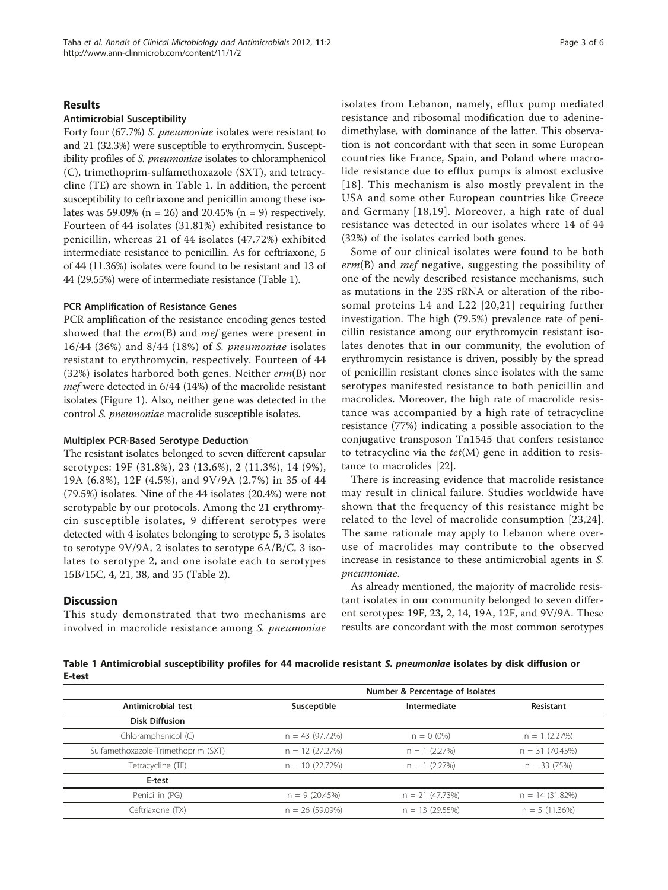### Results

#### Antimicrobial Susceptibility

Forty four (67.7%) S. pneumoniae isolates were resistant to and 21 (32.3%) were susceptible to erythromycin. Susceptibility profiles of S. pneumoniae isolates to chloramphenicol (C), trimethoprim-sulfamethoxazole (SXT), and tetracycline (TE) are shown in Table 1. In addition, the percent susceptibility to ceftriaxone and penicillin among these isolates was 59.09% ( $n = 26$ ) and 20.45% ( $n = 9$ ) respectively. Fourteen of 44 isolates (31.81%) exhibited resistance to penicillin, whereas 21 of 44 isolates (47.72%) exhibited intermediate resistance to penicillin. As for ceftriaxone, 5 of 44 (11.36%) isolates were found to be resistant and 13 of 44 (29.55%) were of intermediate resistance (Table 1).

### PCR Amplification of Resistance Genes

PCR amplification of the resistance encoding genes tested showed that the  $erm(B)$  and mef genes were present in 16/44 (36%) and 8/44 (18%) of S. pneumoniae isolates resistant to erythromycin, respectively. Fourteen of 44 (32%) isolates harbored both genes. Neither erm(B) nor mef were detected in 6/44 (14%) of the macrolide resistant isolates (Figure [1](#page-3-0)). Also, neither gene was detected in the control S. pneumoniae macrolide susceptible isolates.

#### Multiplex PCR-Based Serotype Deduction

The resistant isolates belonged to seven different capsular serotypes: 19F (31.8%), 23 (13.6%), 2 (11.3%), 14 (9%), 19A (6.8%), 12F (4.5%), and 9V/9A (2.7%) in 35 of 44 (79.5%) isolates. Nine of the 44 isolates (20.4%) were not serotypable by our protocols. Among the 21 erythromycin susceptible isolates, 9 different serotypes were detected with 4 isolates belonging to serotype 5, 3 isolates to serotype 9V/9A, 2 isolates to serotype 6A/B/C, 3 isolates to serotype 2, and one isolate each to serotypes 15B/15C, 4, 21, 38, and 35 (Table [2\)](#page-3-0).

### **Discussion**

This study demonstrated that two mechanisms are involved in macrolide resistance among S. pneumoniae isolates from Lebanon, namely, efflux pump mediated resistance and ribosomal modification due to adeninedimethylase, with dominance of the latter. This observation is not concordant with that seen in some European countries like France, Spain, and Poland where macrolide resistance due to efflux pumps is almost exclusive [[18\]](#page-5-0). This mechanism is also mostly prevalent in the USA and some other European countries like Greece and Germany [[18,19\]](#page-5-0). Moreover, a high rate of dual resistance was detected in our isolates where 14 of 44 (32%) of the isolates carried both genes.

Some of our clinical isolates were found to be both erm(B) and mef negative, suggesting the possibility of one of the newly described resistance mechanisms, such as mutations in the 23S rRNA or alteration of the ribosomal proteins L4 and L22 [[20](#page-5-0),[21](#page-5-0)] requiring further investigation. The high (79.5%) prevalence rate of penicillin resistance among our erythromycin resistant isolates denotes that in our community, the evolution of erythromycin resistance is driven, possibly by the spread of penicillin resistant clones since isolates with the same serotypes manifested resistance to both penicillin and macrolides. Moreover, the high rate of macrolide resistance was accompanied by a high rate of tetracycline resistance (77%) indicating a possible association to the conjugative transposon Tn1545 that confers resistance to tetracycline via the  $tet(M)$  gene in addition to resistance to macrolides [[22](#page-5-0)].

There is increasing evidence that macrolide resistance may result in clinical failure. Studies worldwide have shown that the frequency of this resistance might be related to the level of macrolide consumption [[23](#page-5-0),[24\]](#page-5-0). The same rationale may apply to Lebanon where overuse of macrolides may contribute to the observed increase in resistance to these antimicrobial agents in S. pneumoniae.

As already mentioned, the majority of macrolide resistant isolates in our community belonged to seven different serotypes: 19F, 23, 2, 14, 19A, 12F, and 9V/9A. These results are concordant with the most common serotypes

Table 1 Antimicrobial susceptibility profiles for 44 macrolide resistant S. pneumoniae isolates by disk diffusion or E-test

|                                     | Number & Percentage of Isolates |                  |                  |  |
|-------------------------------------|---------------------------------|------------------|------------------|--|
| Antimicrobial test                  | Susceptible                     | Intermediate     | Resistant        |  |
| <b>Disk Diffusion</b>               |                                 |                  |                  |  |
| Chloramphenicol (C)                 | $n = 43(97.72%)$                | $n = 0$ (0%)     | $n = 1$ (2.27%)  |  |
| Sulfamethoxazole-Trimethoprim (SXT) | $n = 12(27.27%)$                | $n = 1$ (2.27%)  | $n = 31(70.45%)$ |  |
| Tetracycline (TE)                   | $n = 10(22.72%)$                | $n = 1$ (2.27%)  | $n = 33(75%)$    |  |
| E-test                              |                                 |                  |                  |  |
| Penicillin (PG)                     | $n = 9(20.45%)$                 | $n = 21(47.73%)$ | $n = 14(31.82%)$ |  |
| Ceftriaxone (TX)                    | $n = 26(59.09\%)$               | $n = 13(29.55%)$ | $n = 5(11.36%)$  |  |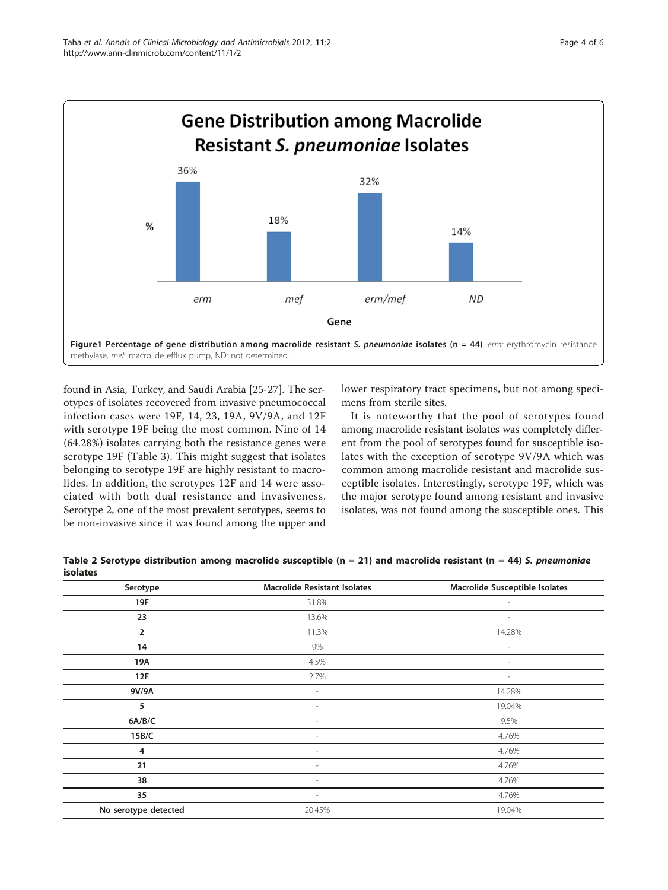<span id="page-3-0"></span>

found in Asia, Turkey, and Saudi Arabia [\[25](#page-5-0)-[27](#page-5-0)]. The serotypes of isolates recovered from invasive pneumococcal infection cases were 19F, 14, 23, 19A, 9V/9A, and 12F with serotype 19F being the most common. Nine of 14 (64.28%) isolates carrying both the resistance genes were serotype 19F (Table [3](#page-4-0)). This might suggest that isolates belonging to serotype 19F are highly resistant to macrolides. In addition, the serotypes 12F and 14 were associated with both dual resistance and invasiveness. Serotype 2, one of the most prevalent serotypes, seems to be non-invasive since it was found among the upper and lower respiratory tract specimens, but not among specimens from sterile sites.

It is noteworthy that the pool of serotypes found among macrolide resistant isolates was completely different from the pool of serotypes found for susceptible isolates with the exception of serotype 9V/9A which was common among macrolide resistant and macrolide susceptible isolates. Interestingly, serotype 19F, which was the major serotype found among resistant and invasive isolates, was not found among the susceptible ones. This

| Table 2 Serotype distribution among macrolide susceptible ( $n = 21$ ) and macrolide resistant ( $n = 44$ ) S. pneumoniae |  |
|---------------------------------------------------------------------------------------------------------------------------|--|
| <b>isolates</b>                                                                                                           |  |

| Serotype             | <b>Macrolide Resistant Isolates</b> | Macrolide Susceptible Isolates |
|----------------------|-------------------------------------|--------------------------------|
| 19F                  | 31.8%                               | $\overline{\phantom{a}}$       |
| 23                   | 13.6%                               | $\overline{\phantom{a}}$       |
| $\overline{2}$       | 11.3%                               | 14.28%                         |
| 14                   | 9%                                  | $\overline{\phantom{a}}$       |
| 19A                  | 4.5%                                | $\sim$                         |
| 12F                  | 2.7%                                | $\overline{\phantom{a}}$       |
| 9V/9A                | $\sim$                              | 14.28%                         |
| 5                    | $\overline{\phantom{a}}$            | 19.04%                         |
| 6A/B/C               | $\overline{\phantom{a}}$            | 9.5%                           |
| 15B/C                | $\overline{\phantom{a}}$            | 4.76%                          |
| 4                    | $\overline{\phantom{a}}$            | 4.76%                          |
| 21                   |                                     | 4.76%                          |
| 38                   | $\overline{\phantom{a}}$            | 4.76%                          |
| 35                   | $\overline{\phantom{a}}$            | 4.76%                          |
| No serotype detected | 20.45%                              | 19.04%                         |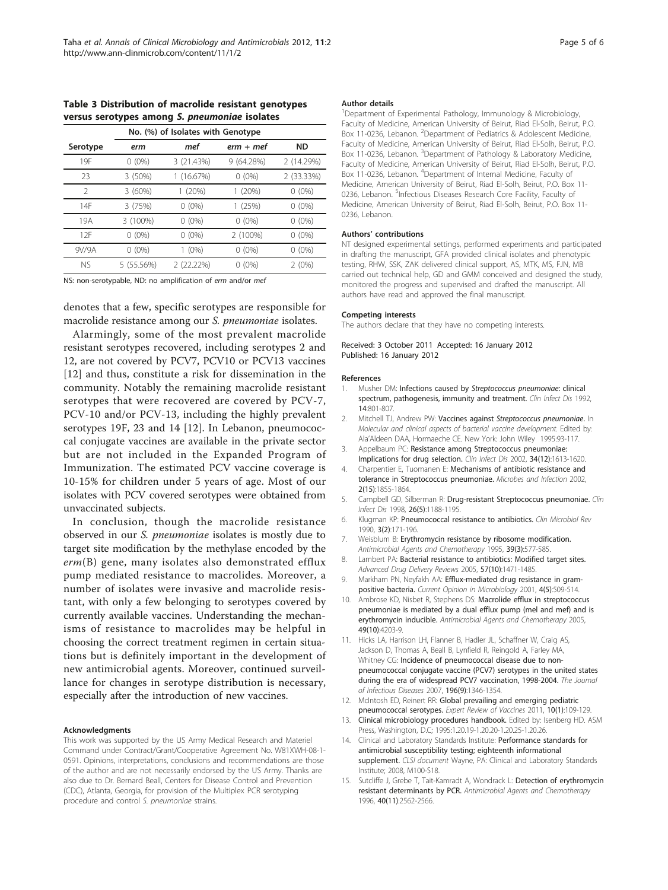<span id="page-4-0"></span>Table 3 Distribution of macrolide resistant genotypes versus serotypes among S. pneumoniae isolates

|               | No. (%) of Isolates with Genotype |            |             |              |  |
|---------------|-----------------------------------|------------|-------------|--------------|--|
| Serotype      | erm                               | mef        | $erm + mef$ | <b>ND</b>    |  |
| 19F           | $0(0\%)$                          | 3 (21.43%) | 9 (64.28%)  | 2 (14.29%)   |  |
| 23            | 3 (50%)                           | (16.67%)   | $0(0\%)$    | 2 (33.33%)   |  |
| $\mathcal{P}$ | 3(60%)                            | 1(20%)     | (20%)       | $0(0\%)$     |  |
| 14F           | 3 (75%)                           | $0(0\%)$   | 1(25%)      | $0(0\%)$     |  |
| 19A           | 3 (100%)                          | $0(0\%)$   | $0(0\%)$    | $0(0\%)$     |  |
| 12F           | $(0\%)$<br>0                      | $0(0\%)$   | 2 (100%)    | $(0\%)$<br>0 |  |
| 9V/9A         | $0(0\%)$                          | $1(0\%)$   | $0(0\%)$    | $0(0\%)$     |  |
| NS.           | 5 (55.56%)                        | 2 (22.22%) | $0(0\%)$    | 2(0%)        |  |

NS: non-serotypable, ND: no amplification of erm and/or mef

denotes that a few, specific serotypes are responsible for macrolide resistance among our S. pneumoniae isolates.

Alarmingly, some of the most prevalent macrolide resistant serotypes recovered, including serotypes 2 and 12, are not covered by PCV7, PCV10 or PCV13 vaccines [12] and thus, constitute a risk for dissemination in the community. Notably the remaining macrolide resistant serotypes that were recovered are covered by PCV-7, PCV-10 and/or PCV-13, including the highly prevalent serotypes 19F, 23 and 14 [12]. In Lebanon, pneumococcal conjugate vaccines are available in the private sector but are not included in the Expanded Program of Immunization. The estimated PCV vaccine coverage is 10-15% for children under 5 years of age. Most of our isolates with PCV covered serotypes were obtained from unvaccinated subjects.

In conclusion, though the macrolide resistance observed in our S. pneumoniae isolates is mostly due to target site modification by the methylase encoded by the  $erm(B)$  gene, many isolates also demonstrated efflux pump mediated resistance to macrolides. Moreover, a number of isolates were invasive and macrolide resistant, with only a few belonging to serotypes covered by currently available vaccines. Understanding the mechanisms of resistance to macrolides may be helpful in choosing the correct treatment regimen in certain situations but is definitely important in the development of new antimicrobial agents. Moreover, continued surveillance for changes in serotype distribution is necessary, especially after the introduction of new vaccines.

#### Acknowledgments

This work was supported by the US Army Medical Research and Materiel Command under Contract/Grant/Cooperative Agreement No. W81XWH-08-1- 0591. Opinions, interpretations, conclusions and recommendations are those of the author and are not necessarily endorsed by the US Army. Thanks are also due to Dr. Bernard Beall, Centers for Disease Control and Prevention (CDC), Atlanta, Georgia, for provision of the Multiplex PCR serotyping procedure and control S. pneumoniae strains.

#### Author details

1 Department of Experimental Pathology, Immunology & Microbiology, Faculty of Medicine, American University of Beirut, Riad El-Solh, Beirut, P.O. Box 11-0236, Lebanon. <sup>2</sup>Department of Pediatrics & Adolescent Medicine, Faculty of Medicine, American University of Beirut, Riad El-Solh, Beirut, P.O. Box 11-0236, Lebanon. <sup>3</sup>Department of Pathology & Laboratory Medicine, Faculty of Medicine, American University of Beirut, Riad El-Solh, Beirut, P.O. Box 11-0236, Lebanon. <sup>4</sup>Department of Internal Medicine, Faculty of Medicine, American University of Beirut, Riad El-Solh, Beirut, P.O. Box 11- 0236, Lebanon. <sup>5</sup>Infectious Diseases Research Core Facility, Faculty of Medicine, American University of Beirut, Riad El-Solh, Beirut, P.O. Box 11- 0236, Lebanon.

#### Authors' contributions

NT designed experimental settings, performed experiments and participated in drafting the manuscript, GFA provided clinical isolates and phenotypic testing, RHW, SSK, ZAK delivered clinical support, AS, MTK, MS, FJN, MB carried out technical help, GD and GMM conceived and designed the study, monitored the progress and supervised and drafted the manuscript. All authors have read and approved the final manuscript.

#### Competing interests

The authors declare that they have no competing interests.

Received: 3 October 2011 Accepted: 16 January 2012 Published: 16 January 2012

#### References

- 1. Musher DM: Infections caused by [Streptococcus pneumoniae](http://www.ncbi.nlm.nih.gov/pubmed/1576274?dopt=Abstract): clinical [spectrum, pathogenesis, immunity and treatment.](http://www.ncbi.nlm.nih.gov/pubmed/1576274?dopt=Abstract) Clin Infect Dis 1992, 14:801-807.
- 2. Mitchell TJ, Andrew PW: Vaccines against Streptococcus pneumoniae. In Molecular and clinical aspects of bacterial vaccine development. Edited by: Ala'Aldeen DAA, Hormaeche CE. New York: John Wiley 1995:93-117.
- 3. Appelbaum PC: [Resistance among Streptococcus pneumoniae:](http://www.ncbi.nlm.nih.gov/pubmed/12032897?dopt=Abstract) [Implications for drug selection.](http://www.ncbi.nlm.nih.gov/pubmed/12032897?dopt=Abstract) Clin Infect Dis 2002, 34(12):1613-1620.
- 4. Charpentier E, Tuomanen E: Mechanisms of antibiotic resistance and tolerance in Streptococcus pneumoniae. Microbes and Infection 2002, 2(15):1855-1864.
- 5. Campbell GD, Silberman R: [Drug-resistant Streptococcus pneumoniae.](http://www.ncbi.nlm.nih.gov/pubmed/9597251?dopt=Abstract) Clin Infect Dis 1998, 26(5):1188-1195.
- 6. Klugman KP: [Pneumococcal resistance to antibiotics.](http://www.ncbi.nlm.nih.gov/pubmed/2187594?dopt=Abstract) Clin Microbiol Rev 1990, 3(2):171-196.
- 7. Weisblum B: [Erythromycin resistance by ribosome modification.](http://www.ncbi.nlm.nih.gov/pubmed/7793855?dopt=Abstract) Antimicrobial Agents and Chemotherapy 1995, 39(3):577-585.
- 8. Lambert PA: [Bacterial resistance to antibiotics: Modified target sites.](http://www.ncbi.nlm.nih.gov/pubmed/15964098?dopt=Abstract) Advanced Drug Delivery Reviews 2005, 57(10):1471-1485.
- 9. Markham PN, Neyfakh AA: [Efflux-mediated drug resistance in gram](http://www.ncbi.nlm.nih.gov/pubmed/11587925?dopt=Abstract)[positive bacteria.](http://www.ncbi.nlm.nih.gov/pubmed/11587925?dopt=Abstract) Current Opinion in Microbiology 2001, 4(5):509-514.
- 10. Ambrose KD, Nisbet R, Stephens DS: [Macrolide efflux in streptococcus](http://www.ncbi.nlm.nih.gov/pubmed/16189099?dopt=Abstract) [pneumoniae is mediated by a dual efflux pump \(mel and mef\) and is](http://www.ncbi.nlm.nih.gov/pubmed/16189099?dopt=Abstract) [erythromycin inducible.](http://www.ncbi.nlm.nih.gov/pubmed/16189099?dopt=Abstract) Antimicrobial Agents and Chemotherapy 2005, 49(10):4203-9.
- 11. Hicks LA, Harrison LH, Flanner B, Hadler JL, Schaffner W, Craig AS, Jackson D, Thomas A, Beall B, Lynfield R, Reingold A, Farley MA, Whitney CG: [Incidence of pneumococcal disease due to non](http://www.ncbi.nlm.nih.gov/pubmed/17922399?dopt=Abstract)[pneumococcal conjugate vaccine \(PCV7\) serotypes in the united states](http://www.ncbi.nlm.nih.gov/pubmed/17922399?dopt=Abstract) [during the era of widespread PCV7 vaccination, 1998-2004.](http://www.ncbi.nlm.nih.gov/pubmed/17922399?dopt=Abstract) The Journal of Infectious Diseases 2007, 196(9):1346-1354.
- 12. McIntosh ED, Reinert RR: [Global prevailing and emerging pediatric](http://www.ncbi.nlm.nih.gov/pubmed/21162625?dopt=Abstract) [pneumococcal serotypes.](http://www.ncbi.nlm.nih.gov/pubmed/21162625?dopt=Abstract) Expert Review of Vaccines 2011, 10(1):109-129.
- 13. Clinical microbiology procedures handbook. Edited by: Isenberg HD. ASM Press, Washington, D.C; 1995:1.20.19-1.20.20-1.20.25-1.20.26.
- 14. Clinical and Laboratory Standards Institute: Performance standards for antimicrobial susceptibility testing; eighteenth informational supplement. CLSI document Wayne, PA: Clinical and Laboratory Standards Institute; 2008, M100-S18.
- 15. Sutcliffe J, Grebe T, Tait-Kamradt A, Wondrack L: [Detection of erythromycin](http://www.ncbi.nlm.nih.gov/pubmed/8913465?dopt=Abstract) [resistant determinants by PCR.](http://www.ncbi.nlm.nih.gov/pubmed/8913465?dopt=Abstract) Antimicrobial Agents and Chemotherapy 1996, 40(11):2562-2566.